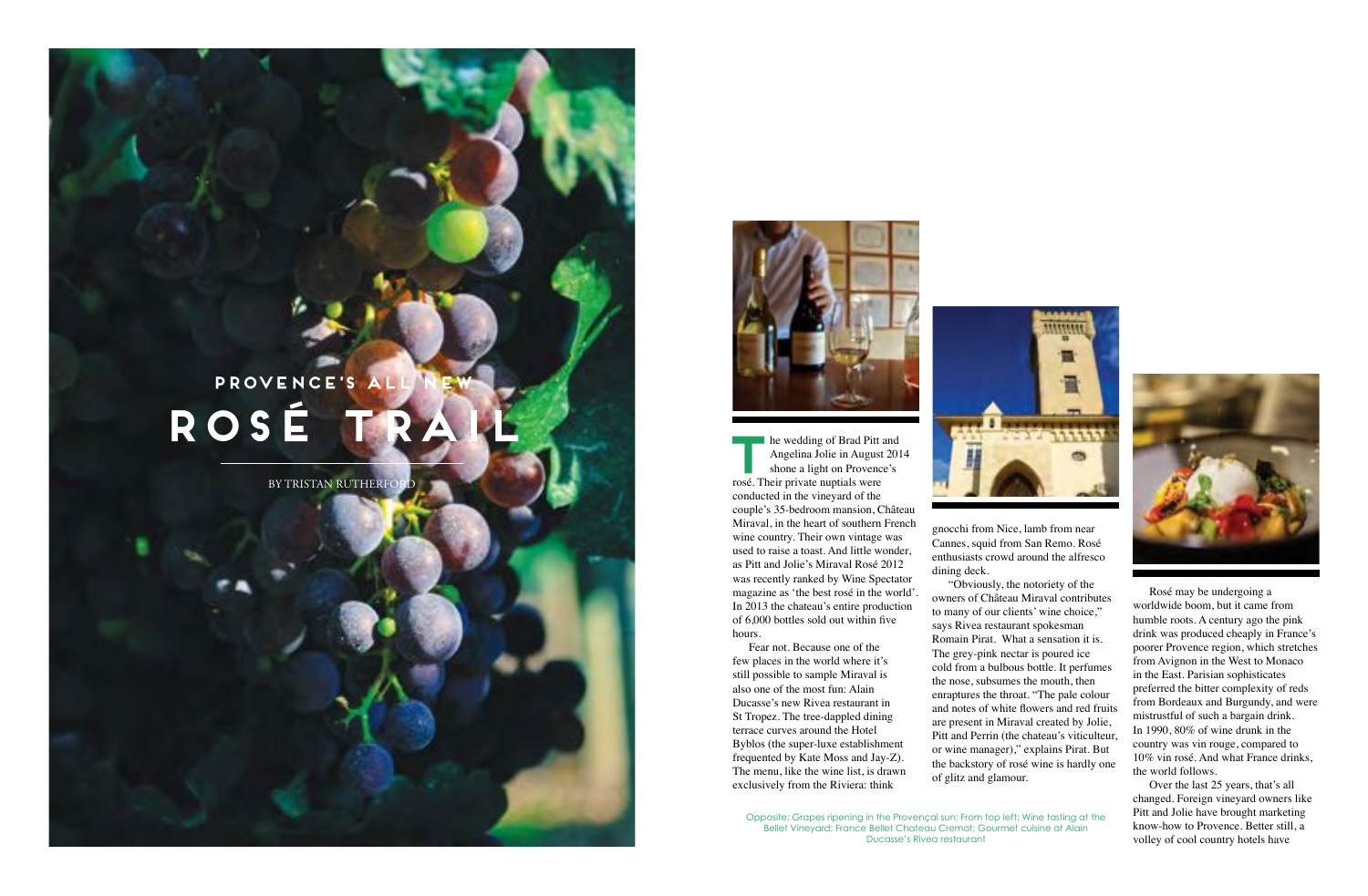**THE THE WEDDE START SET ALCORE SHOP AND SHOP AND SHOP AND SHOP AND SHOP AND SHOP AND SHOP AND SHOP AND SHOP AND SHOP AND SHOP AND SHOP AND SHOP AND SHOP AND SHOP AND SHOP AND SHOP AND SHOP AND SHOP AND SHOP AND SHOP AND S** Angelina Jolie in August 2014 shone a light on Provence's rosé. Their private nuptials were conducted in the vineyard of the couple's 35-bedroom mansion, Château Miraval, in the heart of southern French wine country. Their own vintage was used to raise a toast. And little wonder, as Pitt and Jolie's Miraval Rosé 2012 was recently ranked by Wine Spectator magazine as 'the best rosé in the world'. In 2013 the chateau's entire production of  $6,000$  bottles sold out within five hours.

## PROVENCE'S **rosé trail**

Fear not. Because one of the few places in the world where it's still possible to sample Miraval is also one of the most fun: Alain Ducasse's new Rivea restaurant in St Tropez. The tree-dappled dining terrace curves around the Hotel Byblos (the super-luxe establishment frequented by Kate Moss and Jay-Z). The menu, like the wine list, is drawn exclusively from the Riviera: think



BY TRISTAN RUTHERFORD



gnocchi from Nice, lamb from near Cannes, squid from San Remo. Rosé enthusiasts crowd around the alfresco dining deck.

"Obviously, the notoriety of the owners of Château Miraval contributes to many of our clients' wine choice," says Rivea restaurant spokesman Romain Pirat. What a sensation it is. The grey-pink nectar is poured ice cold from a bulbous bottle. It perfumes the nose, subsumes the mouth, then enraptures the throat. "The pale colour and notes of white flowers and red fruits are present in Miraval created by Jolie, Pitt and Perrin (the chateau's viticulteur, or wine manager)," explains Pirat. But the backstory of rosé wine is hardly one of glitz and glamour.

Rosé may be undergoing a worldwide boom, but it came from humble roots. A century ago the pink drink was produced cheaply in France's poorer Provence region, which stretches from Avignon in the West to Monaco in the East. Parisian sophisticates preferred the bitter complexity of reds from Bordeaux and Burgundy, and were mistrustful of such a bargain drink. In 1990, 80% of wine drunk in the country was vin rouge, compared to 10% vin rosé. And what France drinks, the world follows.

Over the last 25 years, that's all changed. Foreign vineyard owners like Pitt and Jolie have brought marketing know-how to Provence. Better still, a volley of cool country hotels have

Opposite: Grapes ripening in the Provençal sun; From top left: Wine tasting at the Bellet Vineyard; France Bellet Chateau Cremat; Gourmet cuisine at Alain Ducasse's Rivea restaurant

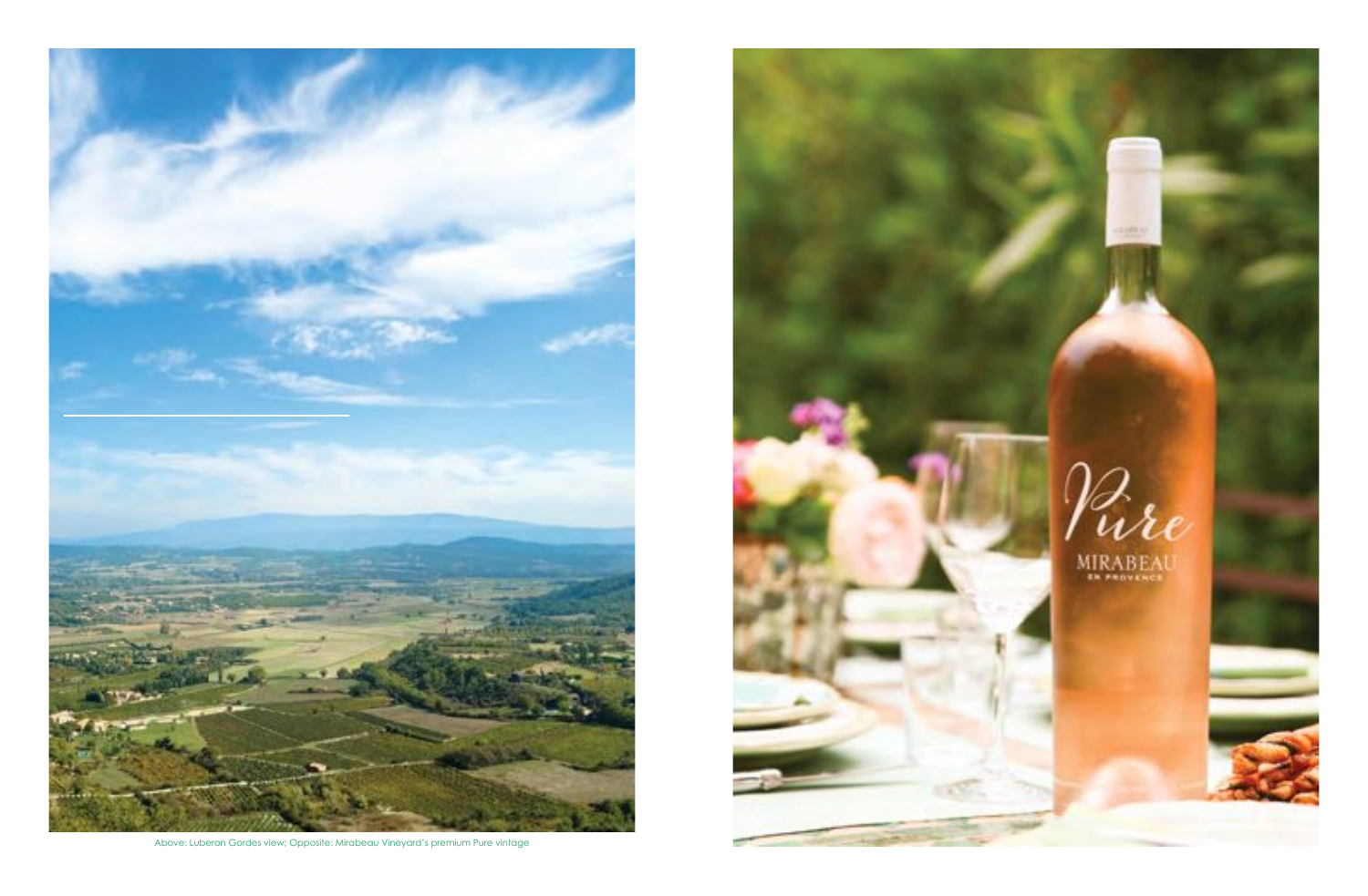

Above: Luberon Gordes view; Opposite: Mirabeau Vineyard's premium Pure vintage

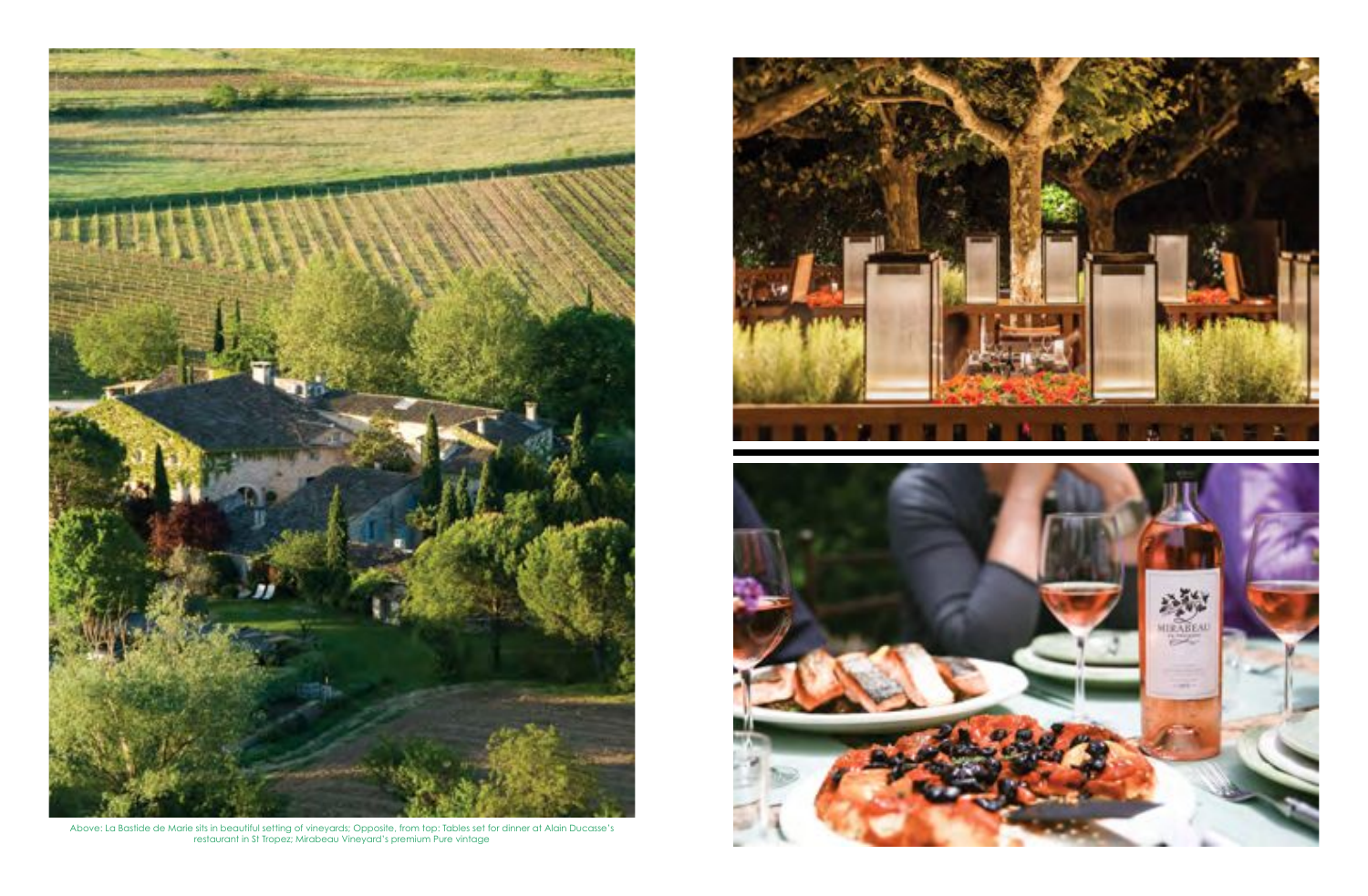

Above: La Bastide de Marie sits in beautiful setting of vineyards; Opposite, from top: Tables set for dinner at Alain Ducasse's restaurant in St Tropez; Mirabeau Vineyard's premium Pure vintage